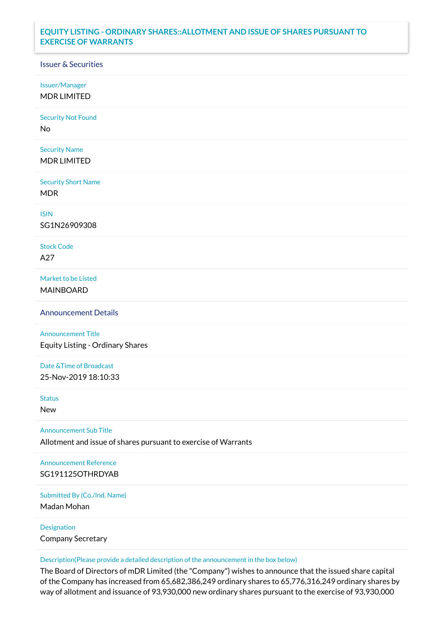## **EQUITY LISTING - ORDINARY SHARES::ALLOTMENT AND ISSUE OF SHARES PURSUANT TO EXERCISE OF WARRANTS**

## Issuer & Securities

Issuer/Manager

MDR LIMITED

Security Not Found

No

Security Name MDR LIMITED

Security Short Name MDR

ISIN

SG1N26909308

Stock Code A27

Market to be Listed MAINBOARD

Announcement Details

Announcement Title Equity Listing - Ordinary Shares

Date &Time of Broadcast 25-Nov-2019 18:10:33

Status

New

Announcement Sub Title

Allotment and issue of shares pursuant to exercise of Warrants

Announcement Reference SG191125OTHRDYAB

Submitted By (Co./Ind. Name)

Madan Mohan

Designation Company Secretary

Description(Please provide a detailed description of the announcement in the box below)

The Board of Directors of mDR Limited (the "Company") wishes to announce that the issued share capital of the Company has increased from 65,682,386,249 ordinary shares to 65,776,316,249 ordinary shares by way of allotment and issuance of 93,930,000 new ordinary shares pursuant to the exercise of 93,930,000